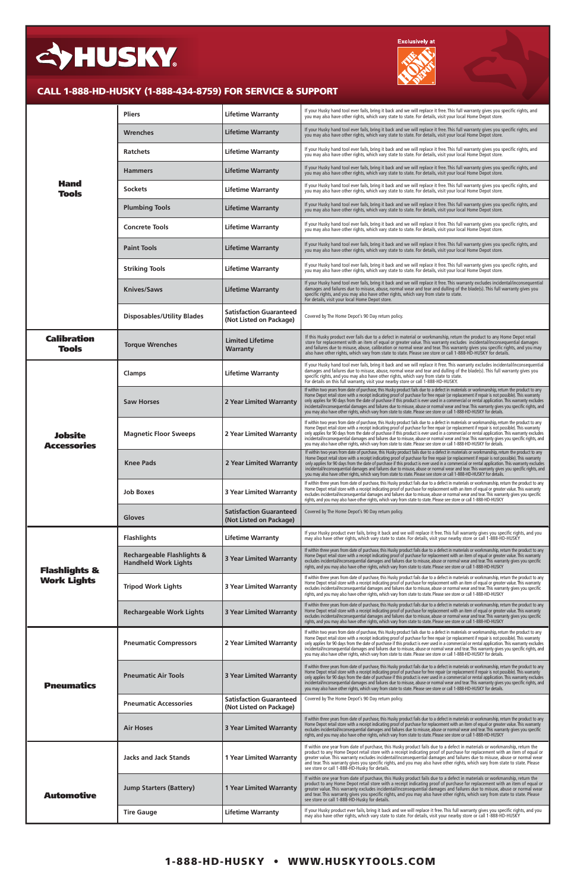| <b>Hand</b><br><b>Tools</b>          | <b>Pliers</b>                                                        | <b>Lifetime Warranty</b>                                  | If your Husky hand tool ever fails, bring it back and we will replace it free. This full warranty gives you specific rights, and<br>you may also have other rights, which vary state to state. For details, visit your local Home Depot store.                                                                                                                                                                                                                                                                                                                                                                                                                                                                       |
|--------------------------------------|----------------------------------------------------------------------|-----------------------------------------------------------|----------------------------------------------------------------------------------------------------------------------------------------------------------------------------------------------------------------------------------------------------------------------------------------------------------------------------------------------------------------------------------------------------------------------------------------------------------------------------------------------------------------------------------------------------------------------------------------------------------------------------------------------------------------------------------------------------------------------|
|                                      | <b>Wrenches</b>                                                      | <b>Lifetime Warranty</b>                                  | If your Husky hand tool ever fails, bring it back and we will replace it free. This full warranty gives you specific rights, and<br>you may also have other rights, which vary state to state. For details, visit your local Home Depot store.                                                                                                                                                                                                                                                                                                                                                                                                                                                                       |
|                                      | <b>Ratchets</b>                                                      | <b>Lifetime Warranty</b>                                  | If your Husky hand tool ever fails, bring it back and we will replace it free. This full warranty gives you specific rights, and<br>you may also have other rights, which vary state to state. For details, visit your local Home Depot store.                                                                                                                                                                                                                                                                                                                                                                                                                                                                       |
|                                      | <b>Hammers</b>                                                       | <b>Lifetime Warranty</b>                                  | If your Husky hand tool ever fails, bring it back and we will replace it free. This full warranty gives you specific rights, and<br>you may also have other rights, which vary state to state. For details, visit your local Home Depot store.                                                                                                                                                                                                                                                                                                                                                                                                                                                                       |
|                                      | <b>Sockets</b>                                                       | <b>Lifetime Warranty</b>                                  | If your Husky hand tool ever fails, bring it back and we will replace it free. This full warranty gives you specific rights, and<br>you may also have other rights, which vary state to state. For details, visit your local Home Depot store.                                                                                                                                                                                                                                                                                                                                                                                                                                                                       |
|                                      | <b>Plumbing Tools</b>                                                | <b>Lifetime Warranty</b>                                  | If your Husky hand tool ever fails, bring it back and we will replace it free. This full warranty gives you specific rights, and<br>you may also have other rights, which vary state to state. For details, visit your local Home Depot store.                                                                                                                                                                                                                                                                                                                                                                                                                                                                       |
|                                      | <b>Concrete Tools</b>                                                | <b>Lifetime Warranty</b>                                  | If your Husky hand tool ever fails, bring it back and we will replace it free. This full warranty gives you specific rights, and<br>you may also have other rights, which vary state to state. For details, visit your local Home Depot store.                                                                                                                                                                                                                                                                                                                                                                                                                                                                       |
|                                      | <b>Paint Tools</b>                                                   | <b>Lifetime Warranty</b>                                  | If your Husky hand tool ever fails, bring it back and we will replace it free. This full warranty gives you specific rights, and<br>you may also have other rights, which vary state to state. For details, visit your local Home Depot store.                                                                                                                                                                                                                                                                                                                                                                                                                                                                       |
|                                      | <b>Striking Tools</b>                                                | <b>Lifetime Warranty</b>                                  | If your Husky hand tool ever fails, bring it back and we will replace it free. This full warranty gives you specific rights, and<br>you may also have other rights, which vary state to state. For details, visit your local Home Depot store.                                                                                                                                                                                                                                                                                                                                                                                                                                                                       |
|                                      | <b>Knives/Saws</b>                                                   | <b>Lifetime Warranty</b>                                  | If your Husky hand tool ever fails, bring it back and we will replace it free. This warranty excludes incidental/inconsequential<br>damages and failures due to misuse, abuse, normal wear and tear and dulling of the blade(s). This full warranty gives you<br>specific rights, and you may also have other rights, which vary from state to state.<br>For details, visit your local Home Depot store.                                                                                                                                                                                                                                                                                                             |
|                                      | <b>Disposables/Utility Blades</b>                                    | <b>Satisfaction Guaranteed</b><br>(Not Listed on Package) | Covered by The Home Depot's 90 Day return policy.                                                                                                                                                                                                                                                                                                                                                                                                                                                                                                                                                                                                                                                                    |
| <b>Calibration</b><br><b>Tools</b>   | <b>Torque Wrenches</b>                                               | <b>Limited Lifetime</b><br>Warranty                       | If this Husky product ever fails due to a defect in material or workmanship, return the product to any Home Depot retail<br>store for replacement with an item of equal or greater value. This warranty excludes incidental/inconsequential damages<br>and failures due to misuse, abuse, calibration or normal wear and tear. This warranty gives you specific rights, and you may<br>also have other rights, which vary from state to state. Please see store or call 1-888-HD-HUSKY for details.                                                                                                                                                                                                                  |
| <b>Jobsite</b><br><b>Accessories</b> | Clamps                                                               | <b>Lifetime Warranty</b>                                  | If your Husky hand tool ever fails, bring it back and we will replace it Free. This warranty excludes incidental/inconsequential<br>damages and failures due to misuse, abuse, normal wear and tear and dulling of the blade(s). This full warranty gives you<br>specific rights, and you may also have other rights, which vary from state to state.<br>For details on this full warranty, visit your nearby store or call 1-888-HD-HUSKY.                                                                                                                                                                                                                                                                          |
|                                      | <b>Saw Horses</b>                                                    | 2 Year Limited Warranty                                   | If within two years from date of purchase, this Husky product fails due to a defect in materials or workmanship, return the product to any<br>Home Depot retail store with a receipt indicating proof of purchase for free repair (or replacement if repair is not possible). This warranty<br>only applies for 90 days from the date of purchase if this product is ever used in a commercial or rental application. This warranty excludes<br>incidental/inconsequential damages and failures due to misuse, abuse or normal wear and tear. This warranty gives you specific rights, and<br>you may also have other rights, which vary from state to state. Please see store or call 1-888-HD-HUSKY for details.   |
|                                      | <b>Magnetic Floor Sweeps</b>                                         | 2 Year Limited Warranty                                   | If within two years from date of purchase, this Husky product fails due to a defect in materials or workmanship, return the product to any<br>Home Depot retail store with a receipt indicating proof of purchase for free repair (or replacement if repair is not possible). This warranty<br>only applies for 90 days from the date of purchase if this product is ever used in a commercial or rental application. This warranty excludes<br>incidental/inconsequential damages and failures due to misuse, abuse or normal wear and tear. This warranty gives you specific rights, and<br>you may also have other rights, which vary from state to state. Please see store or call 1-888-HD-HUSKY for details.   |
|                                      | <b>Knee Pads</b>                                                     | 2 Year Limited Warranty                                   | If within two years from date of purchase, this Husky product fails due to a defect in materials or workmanship, return the product to any<br>Home Depot retail store with a receipt indicating proof of purchase for free repair (or replacement if repair is not possible). This warranty<br>only applies for 90 days from the date of purchase if this product is ever used in a commercial or rental application. This warranty excludes<br>incidental/inconsequential damages and failures due to misuse, abuse or normal wear and tear. This warranty gives you specific rights, and<br>you may also have other rights, which vary from state to state. Please see store or call 1-888-HD-HUSKY for details.   |
|                                      | <b>Job Boxes</b>                                                     | <b>3 Year Limited Warranty</b>                            | If within three years from date of purchase, this Husky product fails due to a defect in materials or workmanship, return the product to any<br>Home Depot retail store with a receipt indicating proof of purchase for replacement with an item of equal or greater value. This warranty<br>excludes incidental/inconsequential damages and failures due to misuse, abuse or normal wear and tear. This warranty gives you specific<br>rights, and you may also have other rights, which vary from state to state. Please see store or call 1-888-HD-HUSKY                                                                                                                                                          |
|                                      | <b>Gloves</b>                                                        | <b>Satisfaction Guaranteed</b><br>(Not Listed on Package) | Covered by The Home Depot's 90 Day return policy.                                                                                                                                                                                                                                                                                                                                                                                                                                                                                                                                                                                                                                                                    |
|                                      | <b>Flashlights</b>                                                   | <b>Lifetime Warranty</b>                                  | If your Husky product ever fails, bring it back and we will replace it free. This full warranty gives you specific rights, and you<br>may also have other rights, which vary state to state. For details, visit your nearby store or call 1-888-HD-HUSKY                                                                                                                                                                                                                                                                                                                                                                                                                                                             |
| <b>Flashlights &amp;</b>             | <b>Rechargeable Flashlights &amp;</b><br><b>Handheld Work Lights</b> | <b>3 Year Limited Warranty</b>                            | If within three years from date of purchase, this Husky product fails due to a defect in materials or workmanship, return the product to any<br>Home Depot retail store with a receipt indicating proof of purchase for replacement with an item of equal or greater value. This warranty<br>excludes incidental/inconsequential damages and failures due to misuse, abuse or normal wear and tear. This warranty gives you specific<br>rights, and you may also have other rights, which vary from state to state. Please see store or call 1-888-HD-HUSKY                                                                                                                                                          |
| <b>Work Lights</b>                   | <b>Tripod Work Lights</b>                                            | <b>3 Year Limited Warranty</b>                            | If within three years from date of purchase, this Husky product fails due to a defect in materials or workmanship, return the product to any<br>Home Depot retail store with a receipt indicating proof of purchase for replacement with an item of equal or greater value. This warranty<br>excludes incidental/inconsequential damages and failures due to misuse, abuse or normal wear and tear. This warranty gives you specific<br>rights, and you may also have other rights, which vary from state to state. Please see store or call 1-888-HD-HUSKY                                                                                                                                                          |
|                                      | <b>Rechargeable Work Lights</b>                                      | <b>3 Year Limited Warranty</b>                            | If within three years from date of purchase, this Husky product fails due to a defect in materials or workmanship, return the product to any<br>Home Depot retail store with a receipt indicating proof of purchase for replacement with an item of equal or greater value. This warranty<br>excludes incidental/inconsequential damages and failures due to misuse, abuse or normal wear and tear. This warranty gives you specific<br>rights, and you may also have other rights, which vary from state to state. Please see store or call 1-888-HD-HUSKY                                                                                                                                                          |
| <b>Pneumatics</b>                    | <b>Pneumatic Compressors</b>                                         | 2 Year Limited Warranty                                   | If within two years from date of purchase, this Husky product fails due to a defect in materials or workmanship, return the product to any<br>Home Depot retail store with a receipt indicating proof of purchase for free repair (or replacement if repair is not possible). This warranty<br>only applies for 90 days from the date of purchase if this product is ever used in a commercial or rental application. This warranty excludes<br>incidental/inconsequential damages and failures due to misuse, abuse or normal wear and tear. This warranty gives you specific rights, and<br>you may also have other rights, which vary from state to state. Please see store or call 1-888-HD-HUSKY for details.   |
|                                      | <b>Pneumatic Air Tools</b>                                           | <b>3 Year Limited Warranty</b>                            | If within three years from date of purchase, this Husky product fails due to a defect in materials or workmanship, return the product to any<br>Home Depot retail store with a receipt indicating proof of purchase for free repair (or replacement if repair is not possible). This warranty<br>only applies for 90 days from the date of purchase if this product is ever used in a commercial or rental application. This warranty excludes<br>incidental/inconsequential damages and failures due to misuse, abuse or normal wear and tear. This warranty gives you specific rights, and<br>you may also have other rights, which vary from state to state. Please see store or call 1-888-HD-HUSKY for details. |
|                                      | <b>Pneumatic Accessories</b>                                         | <b>Satisfaction Guaranteed</b><br>(Not Listed on Package) | Covered by The Home Depot's 90 Day return policy.                                                                                                                                                                                                                                                                                                                                                                                                                                                                                                                                                                                                                                                                    |
|                                      | <b>Air Hoses</b>                                                     | <b>3 Year Limited Warranty</b>                            | If within three years from date of purchase, this Husky product fails due to a defect in materials or workmanship, return the product to any<br>Home Depot retail store with a receipt indicating proof of purchase for replacement with an item of equal or greater value. This warranty<br>excludes incidental/inconsequential damages and failures due to misuse, abuse or normal wear and tear. This warranty gives you specific<br>rights, and you may also have other rights, which vary from state to state. Please see store or call 1-888-HD-HUSKY                                                                                                                                                          |
| <b>Automotive</b>                    | <b>Jacks and Jack Stands</b>                                         | <b>1 Year Limited Warranty</b>                            | If within one year from date of purchase, this Husky product fails due to a defect in materials or workmanship, return the<br>product to any Home Depot retail store with a receipt indicating proof of purchase for replacement with an item of equal or<br>greater value. This warranty excludes incidental/inconsequential damages and failures due to misuse, abuse or normal wear<br>and tear. This warranty gives you specific rights, and you may also have other rights, which vary from state to state. Please<br>see store or call 1-888-HD-Husky for details.                                                                                                                                             |
|                                      | <b>Jump Starters (Battery)</b>                                       | <b>1 Year Limited Warranty</b>                            | If within one year from date of purchase, this Husky product fails due to a defect in materials or workmanship, return the<br>product to any Home Depot retail store with a receipt indicating proof of purchase for replacement with an item of equal or<br>greater value. This warranty excludes incidental/inconsequential damages and failures due to misuse, abuse or normal wear<br>and tear. This warranty gives you specific rights, and you may also have other rights, which vary from state to state. Please<br>see store or call 1-888-HD-Husky for details.                                                                                                                                             |
|                                      | <b>Tire Gauge</b>                                                    | <b>Lifetime Warranty</b>                                  | If your Husky product ever fails, bring it back and we will replace it free. This full warranty gives you specific rights, and you<br>may also have other rights, which vary state to state. For details, visit your nearby store or call 1-888-HD-HUSKY                                                                                                                                                                                                                                                                                                                                                                                                                                                             |

#### 1-888-HD-HUSKY • WWW.HUSKYTOOLS.COM

# SYHUSKY.



### CALL 1-888-HD-HUSKY (1-888-434-8759) FOR SERVICE & SUPPORT